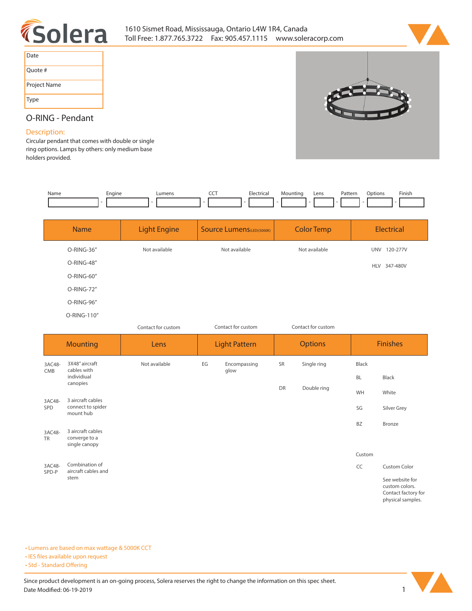



| Date         |
|--------------|
| Quote #      |
| Project Name |
| Type         |



## **O-RING - Pendant**

## **Description:**

**Circular pendant that comes with double or single ring options. Lamps by others: only medium base holders provided.** 

| Name                | Engine                                              | Lumens              | CCT<br>Electrical                 | Mounting<br>Lens   | Options<br>Finish<br>Pattern                             |
|---------------------|-----------------------------------------------------|---------------------|-----------------------------------|--------------------|----------------------------------------------------------|
|                     | <b>Name</b>                                         | <b>Light Engine</b> | <b>Source Lumens</b> (LED)(5000K) | <b>Color Temp</b>  | <b>Electrical</b>                                        |
|                     | O-RING-36"                                          | Not available       | Not available                     | Not available      | UNV 120-277V                                             |
|                     | O-RING-48"                                          |                     |                                   |                    | HLV 347-480V                                             |
|                     | O-RING-60"                                          |                     |                                   |                    |                                                          |
|                     | O-RING-72"                                          |                     |                                   |                    |                                                          |
|                     | O-RING-96"                                          |                     |                                   |                    |                                                          |
|                     | O-RING-110"                                         |                     |                                   |                    |                                                          |
|                     |                                                     | Contact for custom  | Contact for custom                | Contact for custom |                                                          |
|                     | <b>Mounting</b>                                     | Lens                | <b>Light Pattern</b>              | <b>Options</b>     | <b>Finishes</b>                                          |
| 3AC48-              | 3X48" aircraft<br>cables with                       | Not available       | EG<br>Encompassing                | SR<br>Single ring  | Black                                                    |
| CMB                 | individiual<br>canopies                             |                     | glow                              |                    | <b>BL</b><br>Black                                       |
|                     |                                                     |                     |                                   | DR<br>Double ring  | WH<br>White                                              |
| 3AC48-<br>SPD       | 3 aircraft cables<br>connect to spider<br>mount hub |                     |                                   |                    | SG<br>Silver Grey                                        |
|                     | 3 aircraft cables                                   |                     |                                   |                    | BZ<br>Bronze                                             |
| 3AC48-<br><b>TR</b> | converge to a<br>single canopy                      |                     |                                   |                    |                                                          |
|                     |                                                     |                     |                                   |                    | Custom                                                   |
| 3AC48-<br>SPD-P     | Combination of<br>aircraft cables and               |                     |                                   |                    | CC<br><b>Custom Color</b>                                |
|                     | stem                                                |                     |                                   |                    | See website for<br>custom colors.<br>Contact factory for |

**• Lumens are based on max wattage & 5000K CCT**

**• IES files available upon request** 

• Std - Standard Offering



**physical samples.**